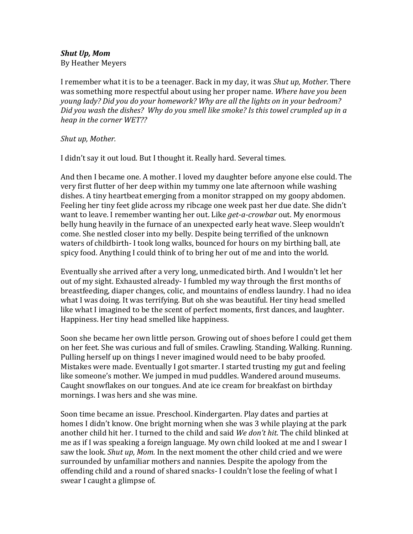## *Shut Up, Mom*

By Heather Meyers

I remember what it is to be a teenager. Back in my day, it was *Shut up, Mother*. There was something more respectful about using her proper name. *Where have you been young lady? Did you do your homework? Why are all the lights on in your bedroom? Did you wash the dishes? Why do you smell like smoke? Is this towel crumpled up in a heap in the corner WET??*

## *Shut up, Mother.*

I didn't say it out loud. But I thought it. Really hard. Several times.

And then I became one. A mother. I loved my daughter before anyone else could. The very first flutter of her deep within my tummy one late afternoon while washing dishes. A tiny heartbeat emerging from a monitor strapped on my goopy abdomen. Feeling her tiny feet glide across my ribcage one week past her due date. She didn't want to leave. I remember wanting her out. Like *get-a-crowbar* out. My enormous belly hung heavily in the furnace of an unexpected early heat wave. Sleep wouldn't come. She nestled closer into my belly. Despite being terrified of the unknown waters of childbirth- I took long walks, bounced for hours on my birthing ball, ate spicy food. Anything I could think of to bring her out of me and into the world.

Eventually she arrived after a very long, unmedicated birth. And I wouldn't let her out of my sight. Exhausted already- I fumbled my way through the first months of breastfeeding, diaper changes, colic, and mountains of endless laundry. I had no idea what I was doing. It was terrifying. But oh she was beautiful. Her tiny head smelled like what I imagined to be the scent of perfect moments, first dances, and laughter. Happiness. Her tiny head smelled like happiness.

Soon she became her own little person. Growing out of shoes before I could get them on her feet. She was curious and full of smiles. Crawling. Standing. Walking. Running. Pulling herself up on things I never imagined would need to be baby proofed. Mistakes were made. Eventually I got smarter. I started trusting my gut and feeling like someone's mother. We jumped in mud puddles. Wandered around museums. Caught snowflakes on our tongues. And ate ice cream for breakfast on birthday mornings. I was hers and she was mine.

Soon time became an issue. Preschool. Kindergarten. Play dates and parties at homes I didn't know. One bright morning when she was 3 while playing at the park another child hit her. I turned to the child and said *We don't hit*. The child blinked at me as if I was speaking a foreign language. My own child looked at me and I swear I saw the look. *Shut up, Mom.* In the next moment the other child cried and we were surrounded by unfamiliar mothers and nannies. Despite the apology from the offending child and a round of shared snacks- I couldn't lose the feeling of what I swear I caught a glimpse of.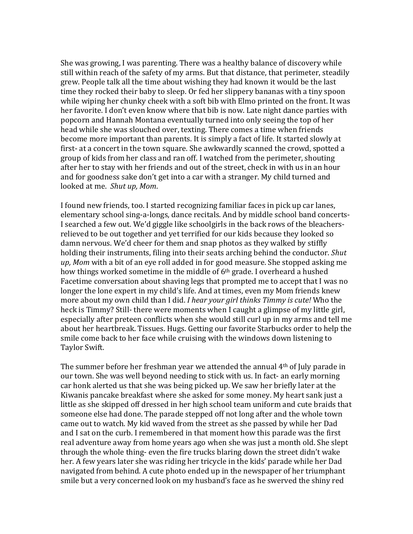She was growing, I was parenting. There was a healthy balance of discovery while still within reach of the safety of my arms. But that distance, that perimeter, steadily grew. People talk all the time about wishing they had known it would be the last time they rocked their baby to sleep. Or fed her slippery bananas with a tiny spoon while wiping her chunky cheek with a soft bib with Elmo printed on the front. It was her favorite. I don't even know where that bib is now. Late night dance parties with popcorn and Hannah Montana eventually turned into only seeing the top of her head while she was slouched over, texting. There comes a time when friends become more important than parents. It is simply a fact of life. It started slowly at first- at a concert in the town square. She awkwardly scanned the crowd, spotted a group of kids from her class and ran off. I watched from the perimeter, shouting after her to stay with her friends and out of the street, check in with us in an hour and for goodness sake don't get into a car with a stranger. My child turned and looked at me. *Shut up, Mom*.

I found new friends, too. I started recognizing familiar faces in pick up car lanes, elementary school sing-a-longs, dance recitals. And by middle school band concerts-I searched a few out. We'd giggle like schoolgirls in the back rows of the bleachersrelieved to be out together and yet terrified for our kids because they looked so damn nervous. We'd cheer for them and snap photos as they walked by stiffly holding their instruments, filing into their seats arching behind the conductor. *Shut up, Mom* with a bit of an eye roll added in for good measure. She stopped asking me how things worked sometime in the middle of 6<sup>th</sup> grade. I overheard a hushed Facetime conversation about shaving legs that prompted me to accept that I was no longer the lone expert in my child's life. And at times, even my Mom friends knew more about my own child than I did. *I hear your girl thinks Timmy is cute!* Who the heck is Timmy? Still- there were moments when I caught a glimpse of my little girl, especially after preteen conflicts when she would still curl up in my arms and tell me about her heartbreak. Tissues. Hugs. Getting our favorite Starbucks order to help the smile come back to her face while cruising with the windows down listening to Taylor Swift.

The summer before her freshman year we attended the annual  $4<sup>th</sup>$  of July parade in our town. She was well beyond needing to stick with us. In fact- an early morning car honk alerted us that she was being picked up. We saw her briefly later at the Kiwanis pancake breakfast where she asked for some money. My heart sank just a little as she skipped off dressed in her high school team uniform and cute braids that someone else had done. The parade stepped off not long after and the whole town came out to watch. My kid waved from the street as she passed by while her Dad and I sat on the curb. I remembered in that moment how this parade was the first real adventure away from home years ago when she was just a month old. She slept through the whole thing- even the fire trucks blaring down the street didn't wake her. A few years later she was riding her tricycle in the kids' parade while her Dad navigated from behind. A cute photo ended up in the newspaper of her triumphant smile but a very concerned look on my husband's face as he swerved the shiny red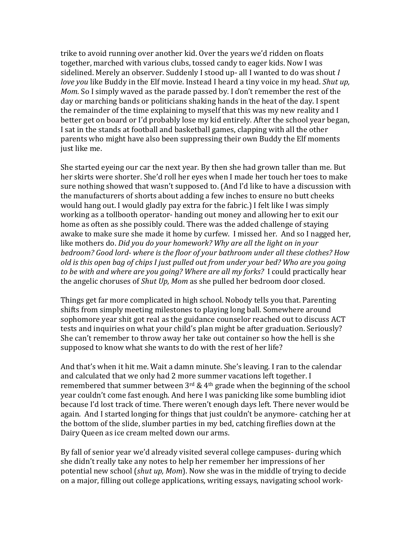trike to avoid running over another kid. Over the years we'd ridden on floats together, marched with various clubs, tossed candy to eager kids. Now I was sidelined. Merely an observer. Suddenly I stood up- all I wanted to do was shout *I love you* like Buddy in the Elf movie. Instead I heard a tiny voice in my head. *Shut up, Mom.* So I simply waved as the parade passed by. I don't remember the rest of the day or marching bands or politicians shaking hands in the heat of the day. I spent the remainder of the time explaining to myself that this was my new reality and I better get on board or I'd probably lose my kid entirely. After the school year began, I sat in the stands at football and basketball games, clapping with all the other parents who might have also been suppressing their own Buddy the Elf moments just like me.

She started eyeing our car the next year. By then she had grown taller than me. But her skirts were shorter. She'd roll her eyes when I made her touch her toes to make sure nothing showed that wasn't supposed to. (And I'd like to have a discussion with the manufacturers of shorts about adding a few inches to ensure no butt cheeks would hang out. I would gladly pay extra for the fabric.) I felt like I was simply working as a tollbooth operator- handing out money and allowing her to exit our home as often as she possibly could. There was the added challenge of staying awake to make sure she made it home by curfew. I missed her. And so I nagged her, like mothers do. *Did you do your homework? Why are all the light on in your bedroom? Good lord- where is the floor of your bathroom under all these clothes? How old is this open bag of chips I just pulled out from under your bed? Who are you going to be with and where are you going? Where are all my forks?* I could practically hear the angelic choruses of *Shut Up, Mom* as she pulled her bedroom door closed.

Things get far more complicated in high school. Nobody tells you that. Parenting shifts from simply meeting milestones to playing long ball. Somewhere around sophomore year shit got real as the guidance counselor reached out to discuss ACT tests and inquiries on what your child's plan might be after graduation. Seriously? She can't remember to throw away her take out container so how the hell is she supposed to know what she wants to do with the rest of her life?

And that's when it hit me. Wait a damn minute. She's leaving. I ran to the calendar and calculated that we only had 2 more summer vacations left together. I remembered that summer between  $3<sup>rd</sup>$  & 4<sup>th</sup> grade when the beginning of the school year couldn't come fast enough. And here I was panicking like some bumbling idiot because I'd lost track of time. There weren't enough days left. There never would be again. And I started longing for things that just couldn't be anymore- catching her at the bottom of the slide, slumber parties in my bed, catching fireflies down at the Dairy Queen as ice cream melted down our arms.

By fall of senior year we'd already visited several college campuses- during which she didn't really take any notes to help her remember her impressions of her potential new school (*shut up, Mom*). Now she was in the middle of trying to decide on a major, filling out college applications, writing essays, navigating school work